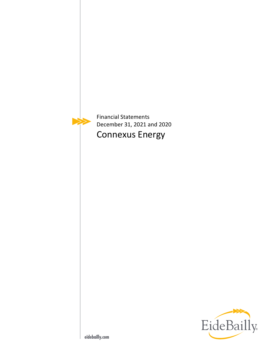

Financial Statements December 31, 2021 and 2020 Connexus Energy

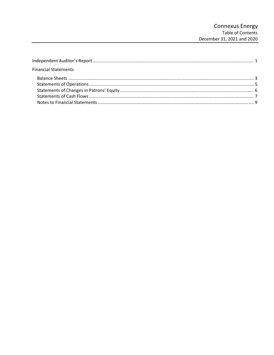| <b>Financial Statements</b> |  |
|-----------------------------|--|
|                             |  |
|                             |  |
|                             |  |
|                             |  |
|                             |  |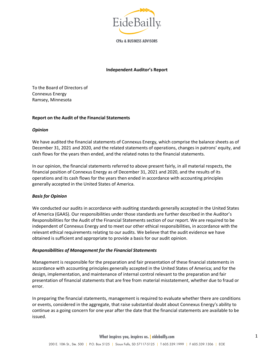

**CPAs & BUSINESS ADVISORS** 

#### **Independent Auditor's Report**

To the Board of Directors of Connexus Energy Ramsey, Minnesota

#### **Report on the Audit of the Financial Statements**

#### *Opinion*

We have audited the financial statements of Connexus Energy, which comprise the balance sheets as of December 31, 2021 and 2020, and the related statements of operations, changes in patrons' equity, and cash flows for the years then ended, and the related notes to the financial statements.

In our opinion, the financial statements referred to above present fairly, in all material respects, the financial position of Connexus Energy as of December 31, 2021 and 2020, and the results of its operations and its cash flows for the years then ended in accordance with accounting principles generally accepted in the United States of America.

### *Basis for Opinion*

We conducted our audits in accordance with auditing standards generally accepted in the United States of America (GAAS). Our responsibilities under those standards are further described in the Auditor's Responsibilities for the Audit of the Financial Statements section of our report. We are required to be independent of Connexus Energy and to meet our other ethical responsibilities, in accordance with the relevant ethical requirements relating to our audits. We believe that the audit evidence we have obtained is sufficient and appropriate to provide a basis for our audit opinion.

### *Responsibilities of Management for the Financial Statements*

Management is responsible for the preparation and fair presentation of these financial statements in accordance with accounting principles generally accepted in the United States of America; and for the design, implementation, and maintenance of internal control relevant to the preparation and fair presentation of financial statements that are free from material misstatement, whether due to fraud or error.

In preparing the financial statements, management is required to evaluate whether there are conditions or events, considered in the aggregate, that raise substantial doubt about Connexus Energy's ability to continue as a going concern for one year after the date that the financial statements are available to be issued.

**What inspires you, inspires us. | eidebailly.com** 200 E. 10th St., Ste. 500 | P.O. Box 5125 | Sioux Falls, SD 57117-5125 | T 605.339.1999 | F 605.339.1306 | EOE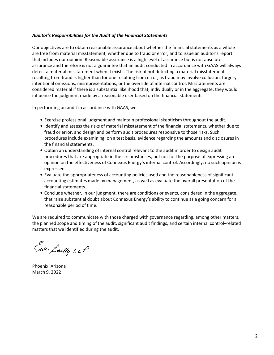#### *Auditor's Responsibilities for the Audit of the Financial Statements*

Our objectives are to obtain reasonable assurance about whether the financial statements as a whole are free from material misstatement, whether due to fraud or error, and to issue an auditor's report that includes our opinion. Reasonable assurance is a high level of assurance but is not absolute assurance and therefore is not a guarantee that an audit conducted in accordance with GAAS will always detect a material misstatement when it exists. The risk of not detecting a material misstatement resulting from fraud is higher than for one resulting from error, as fraud may involve collusion, forgery, intentional omissions, misrepresentations, or the override of internal control. Misstatements are considered material if there is a substantial likelihood that, individually or in the aggregate, they would influence the judgment made by a reasonable user based on the financial statements.

In performing an audit in accordance with GAAS, we:

- Exercise professional judgment and maintain professional skepticism throughout the audit.
- Identify and assess the risks of material misstatement of the financial statements, whether due to fraud or error, and design and perform audit procedures responsive to those risks. Such procedures include examining, on a test basis, evidence regarding the amounts and disclosures in the financial statements.
- Obtain an understanding of internal control relevant to the audit in order to design audit procedures that are appropriate in the circumstances, but not for the purpose of expressing an opinion on the effectiveness of Connexus Energy's internal control. Accordingly, no such opinion is expressed.
- Evaluate the appropriateness of accounting policies used and the reasonableness of significant accounting estimates made by management, as well as evaluate the overall presentation of the financial statements.
- Conclude whether, in our judgment, there are conditions or events, considered in the aggregate, that raise substantial doubt about Connexus Energy's ability to continue as a going concern for a reasonable period of time.

We are required to communicate with those charged with governance regarding, among other matters, the planned scope and timing of the audit, significant audit findings, and certain internal control–related matters that we identified during the audit.

Ede Sailly LLP

Phoenix, Arizona March 9, 2022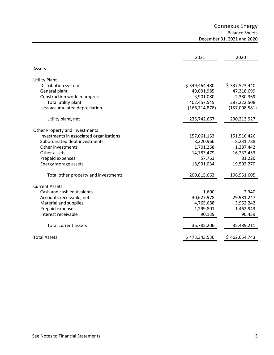# Connexus Energy Balance Sheets December 31, 2021 and 2020

|                                         | 2021            | 2020          |
|-----------------------------------------|-----------------|---------------|
| Assets                                  |                 |               |
| <b>Utility Plant</b>                    |                 |               |
| Distribution system                     | \$349,464,480   | \$337,523,440 |
| General plant                           | 49,091,985      | 47,318,699    |
| Construction work in progress           | 3,901,080       | 2,380,369     |
| Total utility plant                     | 402,457,545     | 387,222,508   |
| Less accumulated depreciation           | (166, 714, 878) | (157,008,581) |
| Utility plant, net                      | 235,742,667     | 230, 213, 927 |
| Other Property and Investments          |                 |               |
| Investments in associated organizations | 157,061,153     | 151,516,426   |
| Subordinated debt investments           | 8,220,966       | 8,231,788     |
| Other investments                       | 1,701,268       | 1,387,442     |
| Other assets                            | 14,783,479      | 16,232,453    |
| Prepaid expenses                        | 57,763          | 81,226        |
| Energy storage assets                   | 18,991,034      | 19,502,270    |
| Total other property and investments    | 200,815,663     | 196,951,605   |
| <b>Current Assets</b>                   |                 |               |
| Cash and cash equivalents               | 1,600           | 2,340         |
| Accounts receivable, net                | 30,627,978      | 29,981,247    |
| Material and supplies                   | 4,765,688       | 3,952,242     |
| Prepaid expenses                        | 1,299,801       | 1,462,943     |
| Interest receivable                     | 90,139          | 90,439        |
| <b>Total current assets</b>             | 36,785,206      | 35,489,211    |
| <b>Total Assets</b>                     | \$473,343,536   | \$462,654,743 |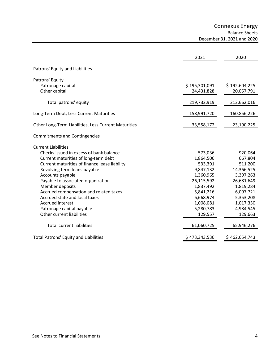|                                                      | 2021                        | 2020                        |
|------------------------------------------------------|-----------------------------|-----------------------------|
| Patrons' Equity and Liabilities                      |                             |                             |
| Patrons' Equity                                      |                             |                             |
| Patronage capital<br>Other capital                   | \$195,301,091<br>24,431,828 | \$192,604,225<br>20,057,791 |
| Total patrons' equity                                | 219,732,919                 | 212,662,016                 |
| Long-Term Debt, Less Current Maturities              | 158,991,720                 | 160,856,226                 |
| Other Long-Term Liabilities, Less Current Maturities | 33,558,172                  | 23,190,225                  |
| <b>Commitments and Contingencies</b>                 |                             |                             |
| <b>Current Liabilities</b>                           |                             |                             |
| Checks issued in excess of bank balance              | 573,036                     | 920,064                     |
| Current maturities of long-term debt                 | 1,864,506                   | 667,804                     |
| Current maturities of finance lease liability        | 533,391                     | 511,200                     |
| Revolving term loans payable                         | 9,847,132                   | 14,366,525                  |
| Accounts payable                                     | 1,360,965                   | 3,397,263                   |
| Payable to associated organization                   | 26,115,592                  | 26,681,649                  |
| Member deposits                                      | 1,837,492                   | 1,819,284                   |
| Accrued compensation and related taxes               | 5,841,216                   | 6,097,721                   |
| Accrued state and local taxes                        | 6,668,974                   | 5,353,208                   |
| <b>Accrued interest</b>                              | 1,008,081                   | 1,017,350                   |
| Patronage capital payable                            | 5,280,783                   | 4,984,545                   |
| Other current liabilities                            | 129,557                     | 129,663                     |
| <b>Total current liabilities</b>                     | 61,060,725                  | 65,946,276                  |
| Total Patrons' Equity and Liabilities                | \$473,343,536               | \$462,654,743               |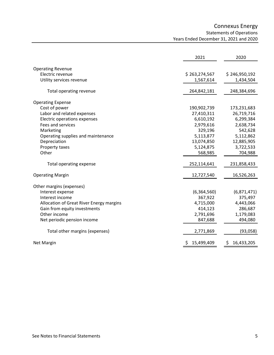# Connexus Energy Statements of Operations Years Ended December 31, 2021 and 2020

|                                              | 2021          | 2020              |
|----------------------------------------------|---------------|-------------------|
|                                              |               |                   |
| <b>Operating Revenue</b><br>Electric revenue | \$263,274,567 | \$246,950,192     |
| Utility services revenue                     | 1,567,614     | 1,434,504         |
|                                              |               |                   |
| Total operating revenue                      | 264,842,181   | 248,384,696       |
| <b>Operating Expense</b>                     |               |                   |
| Cost of power                                | 190,902,739   | 173,231,683       |
| Labor and related expenses                   | 27,410,311    | 26,719,716        |
| Electric operations expenses                 | 6,610,192     | 6,299,384         |
| Fees and services                            | 2,979,616     | 2,638,734         |
| Marketing                                    | 329,196       | 542,628           |
| Operating supplies and maintenance           | 5,113,877     | 5,112,862         |
| Depreciation                                 | 13,074,850    | 12,885,905        |
| Property taxes                               | 5,124,875     | 3,722,533         |
| Other                                        | 568,985       | 704,988           |
| Total operating expense                      | 252,114,641   | 231,858,433       |
| <b>Operating Margin</b>                      | 12,727,540    | 16,526,263        |
| Other margins (expenses)                     |               |                   |
| Interest expense                             | (6,364,560)   | (6,871,471)       |
| Interest income                              | 367,922       | 375,497           |
| Allocation of Great River Energy margins     | 4,715,000     | 4,443,066         |
| Gain from equity investments                 | 414,123       | 286,687           |
| Other income                                 | 2,791,696     | 1,179,083         |
| Net periodic pension income                  | 847,688       | 494,080           |
| Total other margins (expenses)               | 2,771,869     | (93,058)          |
| <b>Net Margin</b>                            | \$15,499,409  | 16,433,205<br>\$. |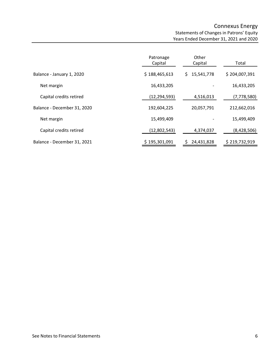# Connexus Energy Statements of Changes in Patrons' Equity Years Ended December 31, 2021 and 2020

|                             | Patronage<br>Capital | Other<br>Capital | Total         |
|-----------------------------|----------------------|------------------|---------------|
| Balance - January 1, 2020   | \$188,465,613        | 15,541,778<br>S. | \$204,007,391 |
| Net margin                  | 16,433,205           |                  | 16,433,205    |
| Capital credits retired     | (12, 294, 593)       | 4,516,013        | (7,778,580)   |
| Balance - December 31, 2020 | 192,604,225          | 20,057,791       | 212,662,016   |
| Net margin                  | 15,499,409           |                  | 15,499,409    |
| Capital credits retired     | (12,802,543)         | 4,374,037        | (8,428,506)   |
| Balance - December 31, 2021 | \$195,301,091        | 24,431,828       | \$219,732,919 |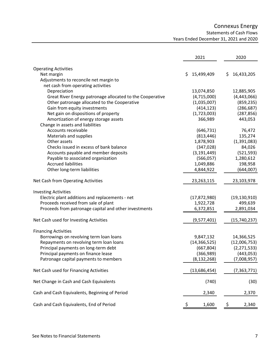# Connexus Energy Statements of Cash Flows Years Ended December 31, 2021 and 2020

|                                                           | 2021              | 2020              |
|-----------------------------------------------------------|-------------------|-------------------|
| <b>Operating Activities</b>                               |                   |                   |
| Net margin                                                | 15,499,409<br>\$. | 16,433,205<br>\$. |
| Adjustments to reconcile net margin to                    |                   |                   |
| net cash from operating activities                        |                   |                   |
| Depreciation                                              | 13,074,850        | 12,885,905        |
| Great River Energy patronage allocated to the Cooperative | (4,715,000)       | (4,443,066)       |
| Other patronage allocated to the Cooperative              | (1,035,007)       | (859, 235)        |
| Gain from equity investments                              | (414, 123)        | (286, 687)        |
| Net gain on dispositions of property                      | (1,723,003)       | (287, 856)        |
| Amortization of energy storage assets                     | 366,989           | 443,053           |
| Change in assets and liabilities                          |                   |                   |
| Accounts receivable                                       | (646, 731)        | 76,472            |
| Materials and supplies                                    | (813, 446)        | 135,274           |
| Other assets                                              | 1,878,903         | (1,391,083)       |
| Checks issued in excess of bank balance                   | (347, 028)        | 84,026            |
| Accounts payable and member deposits                      | (3, 191, 449)     | (521, 593)        |
| Payable to associated organization                        | (566, 057)        | 1,280,612         |
| <b>Accrued liabilities</b>                                | 1,049,886         | 198,958           |
| Other long-term liabilities                               | 4,844,922         | (644,007)         |
|                                                           |                   |                   |
| Net Cash from Operating Activities                        | 23,263,115        | 23,103,978        |
| <b>Investing Activities</b>                               |                   |                   |
| Electric plant additions and replacements - net           | (17, 872, 980)    | (19, 130, 910)    |
| Proceeds received from sale of plant                      | 1,922,728         | 499,639           |
| Proceeds from patronage capital and other investments     | 6,372,851         | 2,891,034         |
| Net Cash used for Investing Activities                    | (9,577,401)       | (15,740,237)      |
| <b>Financing Activities</b>                               |                   |                   |
| Borrowings on revolving term loan loans                   | 9,847,132         | 14,366,525        |
| Repayments on revolving term loan loans                   | (14, 366, 525)    | (12,006,753)      |
| Principal payments on long-term debt                      | (667, 804)        | (2, 271, 533)     |
| Principal payments on finance lease                       | (366, 989)        | (443, 053)        |
| Patronage capital payments to members                     | (8, 132, 268)     | (7,008,957)       |
|                                                           |                   |                   |
| Net Cash used for Financing Activities                    | (13,686,454)      | (7, 363, 771)     |
| Net Change in Cash and Cash Equivalents                   | (740)             | (30)              |
| Cash and Cash Equivalents, Beginning of Period            | 2,340             | 2,370             |
| Cash and Cash Equivalents, End of Period                  | \$<br>1,600       | \$<br>2,340       |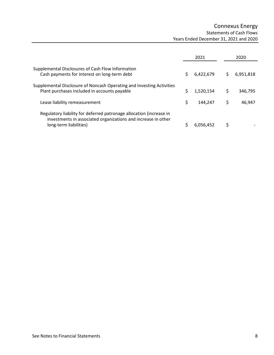# Connexus Energy Statements of Cash Flows Years Ended December 31, 2021 and 2020

|                                                                                                                                                                |   | 2021      |   | 2020      |
|----------------------------------------------------------------------------------------------------------------------------------------------------------------|---|-----------|---|-----------|
| Supplemental Disclosures of Cash Flow Information<br>Cash payments for interest on long-term debt                                                              |   | 6,422,679 | S | 6,951,818 |
| Supplemental Disclosure of Noncash Operating and Investing Activities<br>Plant purchases included in accounts payable                                          |   | 1.520.154 |   | 346.795   |
| Lease liability remeasurement                                                                                                                                  | S | 144.247   |   | 46,947    |
| Regulatory liability for deferred patronage allocation (increase in<br>investments in associated organizations and increase in other<br>long-term liabilities) |   | 6.056.452 |   |           |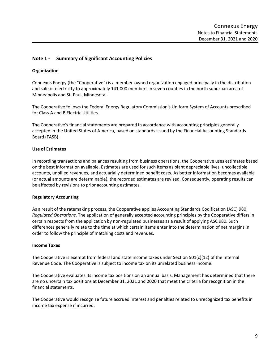## **Note 1 - Summary of Significant Accounting Policies**

## **Organization**

Connexus Energy (the "Cooperative") is a member-owned organization engaged principally in the distribution and sale of electricity to approximately 141,000 members in seven counties in the north suburban area of Minneapolis and St. Paul, Minnesota.

The Cooperative follows the Federal Energy Regulatory Commission's Uniform System of Accounts prescribed for Class A and B Electric Utilities.

The Cooperative's financial statements are prepared in accordance with accounting principles generally accepted in the United States of America, based on standards issued by the Financial Accounting Standards Board (FASB).

### **Use of Estimates**

In recording transactions and balances resulting from business operations, the Cooperative uses estimates based on the best information available. Estimates are used for such items as plant depreciable lives, uncollectible accounts, unbilled revenues, and actuarially determined benefit costs. As better information becomes available (or actual amounts are determinable), the recorded estimates are revised. Consequently, operating results can be affected by revisions to prior accounting estimates.

### **Regulatory Accounting**

As a result of the ratemaking process, the Cooperative applies Accounting Standards Codification (ASC) 980, *Regulated Operations*. The application of generally accepted accounting principles by the Cooperative differs in certain respects from the application by non-regulated businesses as a result of applying ASC 980. Such differences generally relate to the time at which certain items enter into the determination of net margins in order to follow the principle of matching costs and revenues.

#### **Income Taxes**

The Cooperative is exempt from federal and state income taxes under Section 501(c)(12) of the Internal Revenue Code. The Cooperative is subject to income tax on its unrelated business income.

The Cooperative evaluates its income tax positions on an annual basis. Management has determined that there are no uncertain tax positions at December 31, 2021 and 2020 that meet the criteria for recognition in the financial statements.

The Cooperative would recognize future accrued interest and penalties related to unrecognized tax benefits in income tax expense if incurred.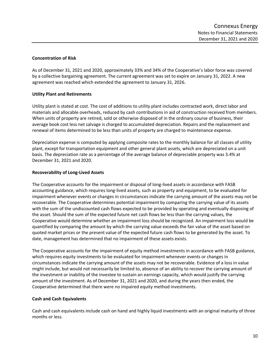## **Concentration of Risk**

As of December 31, 2021 and 2020, approximately 33% and 34% of the Cooperative's labor force was covered by a collective bargaining agreement. The current agreement was set to expire on January 31, 2022. A new agreement was reached which extended the agreement to January 31, 2026.

## **Utility Plant and Retirements**

Utility plant is stated at cost. The cost of additions to utility plant includes contracted work, direct labor and materials and allocable overheads, reduced by cash contributions in aid of construction received from members. When units of property are retired, sold or otherwise disposed of in the ordinary course of business, their average book cost less net salvage is charged to accumulated depreciation. Repairs and the replacement and renewal of items determined to be less than units of property are charged to maintenance expense.

Depreciation expense is computed by applying composite rates to the monthly balance for all classes of utility plant, except for transportation equipment and other general plant assets, which are depreciated on a unit basis. The depreciation rate as a percentage of the average balance of depreciable property was 3.4% at December 31, 2021 and 2020.

## **Recoverability of Long-Lived Assets**

The Cooperative accounts for the impairment or disposal of long-lived assets in accordance with FASB accounting guidance, which requires long-lived assets, such as property and equipment, to be evaluated for impairment whenever events or changes in circumstances indicate the carrying amount of the assets may not be recoverable. The Cooperative determines potential impairment by comparing the carrying value of its assets with the sum of the undiscounted cash flows expected to be provided by operating and eventually disposing of the asset. Should the sum of the expected future net cash flows be less than the carrying values, the Cooperative would determine whether an impairment loss should be recognized. An impairment loss would be quantified by comparing the amount by which the carrying value exceeds the fair value of the asset based on quoted market prices or the present value of the expected future cash flows to be generated by the asset. To date, management has determined that no impairment of these assets exists.

The Cooperative accounts for the impairment of equity method investments in accordance with FASB guidance, which requires equity investments to be evaluated for impairment whenever events or changes in circumstances indicate the carrying amount of the assets may not be recoverable. Evidence of a loss in value might include, but would not necessarily be limited to, absence of an ability to recover the carrying amount of the investment or inability of the investee to sustain an earnings capacity, which would justify the carrying amount of the investment. As of December 31, 2021 and 2020, and during the years then ended, the Cooperative determined that there were no impaired equity method investments.

## **Cash and Cash Equivalents**

Cash and cash equivalents include cash on hand and highly liquid investments with an original maturity of three months or less.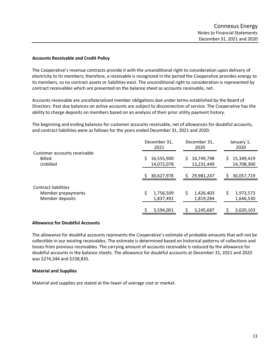## **Accounts Receivable and Credit Policy**

The Cooperative's revenue contracts provide it with the unconditional right to consideration upon delivery of electricity to its members; therefore, a receivable is recognized in the period the Cooperative provides energy to its members, so no contract assets or liabilities exist. The unconditional right to consideration is represented by contract receivables which are presented on the balance sheet as accounts receivable, net.

Accounts receivable are uncollateralized member obligations due under terms established by the Board of Directors. Past due balances on active accounts are subject to disconnection of service. The Cooperative has the ability to charge deposits on members based on an analysis of their prior utility payment history.

The beginning and ending balances for customer accounts receivable, net of allowances for doubtful accounts, and contract liabilities were as follows for the years ended December 31, 2021 and 2020:

|                              | December 31, | December 31, | January 1, |
|------------------------------|--------------|--------------|------------|
|                              | 2021         | 2020         | 2020       |
| Customer accounts receivable | Ś            | 16,749,798   | Ś.         |
| <b>Billed</b>                | 16,555,900   | S.           | 15,349,419 |
| Unbilled                     | 14,072,078   | 13,231,449   | 14,708,300 |
|                              | 30,627,978   | 29,981,247   | S.         |
|                              | S.           | S            | 30,057,719 |
| <b>Contract liabilities</b>  | Ś            | Ś.           | \$         |
| Member prepayments           | 1,756,509    | 1,426,403    | 1,973,573  |
| Member deposits              | 1,837,492    | 1,819,284    | 1,646,530  |
|                              | 3,594,001    | 3,245,687    | 3,620,103  |

### **Allowance for Doubtful Accounts**

The allowance for doubtful accounts represents the Cooperative's estimate of probable amounts that will not be collectible in our existing receivables. The estimate is determined based on historical patterns of collections and losses from previous receivables. The carrying amount of accounts receivable is reduced by the allowance for doubtful accounts in the balance sheets. The allowance for doubtful accounts at December 31, 2021 and 2020 was \$274,344 and \$158,835.

### **Material and Supplies**

Material and supplies are stated at the lower of average cost or market.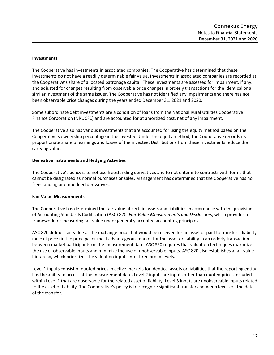### **Investments**

The Cooperative has investments in associated companies. The Cooperative has determined that these investments do not have a readily determinable fair value. Investments in associated companies are recorded at the Cooperative's share of allocated patronage capital. These investments are assessed for impairment, if any, and adjusted for changes resulting from observable price changes in orderly transactions for the identical or a similar investment of the same issuer. The Cooperative has not identified any impairments and there has not been observable price changes during the years ended December 31, 2021 and 2020.

Some subordinate debt investments are a condition of loans from the National Rural Utilities Cooperative Finance Corporation (NRUCFC) and are accounted for at amortized cost, net of any impairment.

The Cooperative also has various investments that are accounted for using the equity method based on the Cooperative's ownership percentage in the investee. Under the equity method, the Cooperative records its proportionate share of earnings and losses of the investee. Distributions from these investments reduce the carrying value.

### **Derivative Instruments and Hedging Activities**

The Cooperative's policy is to not use freestanding derivatives and to not enter into contracts with terms that cannot be designated as normal purchases or sales. Management has determined that the Cooperative has no freestanding or embedded derivatives.

#### **Fair Value Measurements**

The Cooperative has determined the fair value of certain assets and liabilities in accordance with the provisions of Accounting Standards Codification (ASC) 820, *Fair Value Measurements and Disclosures*, which provides a framework for measuring fair value under generally accepted accounting principles.

ASC 820 defines fair value as the exchange price that would be received for an asset or paid to transfer a liability (an exit price) in the principal or most advantageous market for the asset or liability in an orderly transaction between market participants on the measurement date. ASC 820 requires that valuation techniques maximize the use of observable inputs and minimize the use of unobservable inputs. ASC 820 also establishes a fair value hierarchy, which prioritizes the valuation inputs into three broad levels.

Level 1 inputs consist of quoted prices in active markets for identical assets or liabilities that the reporting entity has the ability to access at the measurement date. Level 2 inputs are inputs other than quoted prices included within Level 1 that are observable for the related asset or liability. Level 3 inputs are unobservable inputs related to the asset or liability. The Cooperative's policy is to recognize significant transfers between levels on the date of the transfer.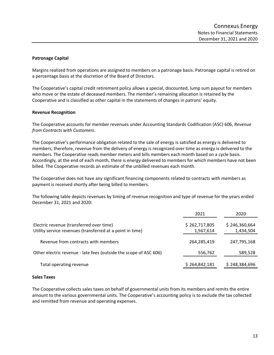## **Patronage Capital**

Margins realized from operations are assigned to members on a patronage basis. Patronage capital is retired on a percentage basis at the discretion of the Board of Directors.

The Cooperative's capital credit retirement policy allows a special, discounted, lump sum payout for members who move or the estate of deceased members. The member's remaining allocation is retained by the Cooperative and is classified as other capital in the statements of changes in patrons' equity.

## **Revenue Recognition**

The Cooperative accounts for member revenues under Accounting Standards Codification (ASC) 606, *Revenue from Contracts with Customers*.

The Cooperative's performance obligation related to the sale of energy is satisfied as energy is delivered to members; therefore, revenue from the delivery of energy is recognized over time as energy is delivered to the members. The Cooperative reads member meters and bills members each month based on a cycle basis. Accordingly, at the end of each month, there is energy delivered to members for which members have not been billed. The Cooperative records an estimate of the unbilled revenues each month.

The Cooperative does not have any significant financing components related to contracts with members as payment is received shortly after being billed to members.

The following table depicts revenues by timing of revenue recognition and type of revenue for the years ended December 31, 2021 and 2020:

|                                                                                                       | 2021                       | 2020                       |
|-------------------------------------------------------------------------------------------------------|----------------------------|----------------------------|
| Electric revenue (transferred over time)<br>Utility service revenues (transferred at a point in time) | \$262,717,805<br>1,567,614 | \$246,360,664<br>1,434,504 |
| Revenue from contracts with members                                                                   | 264,285,419                | 247,795,168                |
| Other electric revenue - late fees (outside the scope of ASC 606)                                     | 556,762                    | 589,528                    |
| Total operating revenue                                                                               | \$264,842,181              | \$248,384,696              |

### **Sales Taxes**

The Cooperative collects sales taxes on behalf of governmental units from its members and remits the entire amount to the various governmental units. The Cooperative's accounting policy is to exclude the tax collected and remitted from revenue and operating expenses.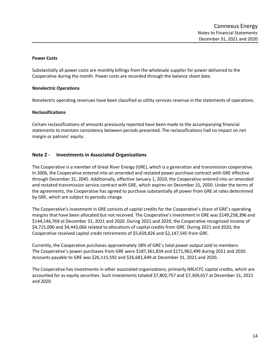### **Power Costs**

Substantially all power costs are monthly billings from the wholesale supplier for power delivered to the Cooperative during the month. Power costs are recorded through the balance sheet date.

## **Nonelectric Operations**

Nonelectric operating revenues have been classified as utility services revenue in the statements of operations.

## **Reclassifications**

Certain reclassifications of amounts previously reported have been made to the accompanying financial statements to maintain consistency between periods presented. The reclassifications had no impact on net margin or patrons' equity.

## **Note 2 - Investments in Associated Organizations**

The Cooperative is a member of Great River Energy (GRE), which is a generation and transmission cooperative. In 2006, the Cooperative entered into an amended and restated power purchase contract with GRE effective through December 31, 2045. Additionally, effective January 1, 2010, the Cooperative entered into an amended and restated transmission service contract with GRE, which expires on December 31, 2050. Under the terms of the agreements, the Cooperative has agreed to purchase substantially all power from GRE at rates determined by GRE, which are subject to periodic change.

The Cooperative's investment in GRE consists of capital credits for the Cooperative's share of GRE's operating margins that have been allocated but not received. The Cooperative's investment in GRE was \$149,258,396 and \$144,146,769 at December 31, 2021 and 2020. During 2021 and 2020, the Cooperative recognized income of \$4,715,000 and \$4,443,066 related to allocations of capital credits from GRE. During 2021 and 2020, the Cooperative received capital credit retirements of \$5,659,826 and \$2,147,545 from GRE.

Currently, the Cooperative purchases approximately 18% of GRE's total power output sold to members. The Cooperative's power purchases from GRE were \$187,361,834 and \$171,962,499 during 2021 and 2020. Accounts payable to GRE was \$26,115,592 and \$26,681,649 at December 31, 2021 and 2020.

The Cooperative has investments in other associated organizations, primarily NRUCFC capital credits, which are accounted for as equity securities. Such investments totaled \$7,802,757 and \$7,369,657 at December 31, 2021 and 2020.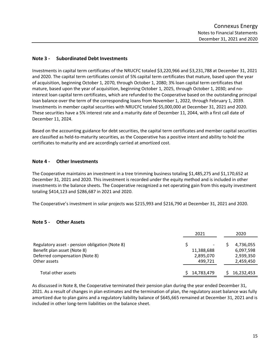## **Note 3 - Subordinated Debt Investments**

Investments in capital term certificates of the NRUCFC totaled \$3,220,966 and \$3,231,788 at December 31, 2021 and 2020. The capital term certificates consist of 5% capital term certificates that mature, based upon the year of acquisition, beginning October 1, 2070, through October 1, 2080; 3% loan capital term certificates that mature, based upon the year of acquisition, beginning October 1, 2025, through October 1, 2030; and nointerest loan capital term certificates, which are refunded to the Cooperative based on the outstanding principal loan balance over the term of the corresponding loans from November 1, 2022, through February 1, 2039. Investments in member capital securities with NRUCFC totaled \$5,000,000 at December 31, 2021 and 2020. These securities have a 5% interest rate and a maturity date of December 11, 2044, with a first call date of December 11, 2024.

Based on the accounting guidance for debt securities, the capital term certificates and member capital securities are classified as held-to-maturity securities, as the Cooperative has a positive intent and ability to hold the certificates to maturity and are accordingly carried at amortized cost.

## **Note 4 - Other Investments**

The Cooperative maintains an investment in a tree trimming business totaling \$1,485,275 and \$1,170,652 at December 31, 2021 and 2020. This investment is recorded under the equity method and is included in other investments in the balance sheets. The Cooperative recognized a net operating gain from this equity investment totaling \$414,123 and \$286,687 in 2021 and 2020.

The Cooperative's investment in solar projects was \$215,993 and \$216,790 at December 31, 2021 and 2020.

## **Note 5 - Other Assets**

|                                                | 2021       | 2020       |
|------------------------------------------------|------------|------------|
| Regulatory asset - pension obligation (Note 8) |            | 4,736,055  |
| Benefit plan asset (Note 8)                    | 11,388,688 | 6,097,598  |
| Deferred compensation (Note 8)                 | 2,895,070  | 2,939,350  |
| Other assets                                   | 499,721    | 2,459,450  |
| Total other assets                             | 14,783,479 | 16,232,453 |

As discussed in Note 8, the Cooperative terminated their pension plan during the year ended December 31, 2021. As a result of changes in plan estimates and the termination of plan, the regulatory asset balance was fully amortized due to plan gains and a regulatory liability balance of \$645,665 remained at December 31, 2021 and is included in other long-term liabilities on the balance sheet.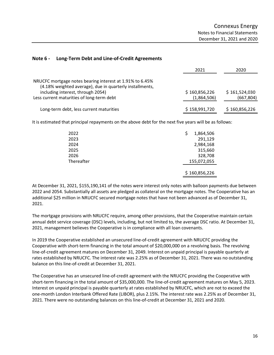## **Note 6 - Long-Term Debt and Line-of-Credit Agreements**

|                                                                                                                                                                                                        | 2021                         | 2020                        |
|--------------------------------------------------------------------------------------------------------------------------------------------------------------------------------------------------------|------------------------------|-----------------------------|
| NRUCFC mortgage notes bearing interest at 1.91% to 6.45%<br>(4.18% weighted average), due in quarterly installments,<br>including interest, through 2054)<br>Less current maturities of long-term debt | \$160,856,226<br>(1,864,506) | \$161,524,030<br>(667, 804) |
| Long-term debt, less current maturities                                                                                                                                                                | \$158,991,720                | \$160,856,226               |

It is estimated that principal repayments on the above debt for the next five years will be as follows:

| 2022       | 1,864,506     |
|------------|---------------|
| 2023       | 291,129       |
| 2024       | 2,984,168     |
| 2025       | 315,660       |
| 2026       | 328,708       |
| Thereafter | 155,072,055   |
|            |               |
|            | \$160,856,226 |

At December 31, 2021, \$155,190,141 of the notes were interest only notes with balloon payments due between 2022 and 2054. Substantially all assets are pledged as collateral on the mortgage notes. The Cooperative has an additional \$25 million in NRUCFC secured mortgage notes that have not been advanced as of December 31, 2021.

The mortgage provisions with NRUCFC require, among other provisions, that the Cooperative maintain certain annual debt service coverage (DSC) levels, including, but not limited to, the average DSC ratio. At December 31, 2021, management believes the Cooperative is in compliance with all loan covenants.

In 2019 the Cooperative established an unsecured line-of-credit agreement with NRUCFC providing the Cooperative with short-term financing in the total amount of \$20,000,000 on a revolving basis. The revolving line-of-credit agreement matures on December 31, 2049. Interest on unpaid principal is payable quarterly at rates established by NRUCFC. The interest rate was 2.25% as of December 31, 2021. There was no outstanding balance on this line-of-credit at December 31, 2021.

The Cooperative has an unsecured line-of-credit agreement with the NRUCFC providing the Cooperative with short-term financing in the total amount of \$35,000,000. The line-of-credit agreement matures on May 5, 2023. Interest on unpaid principal is payable quarterly at rates established by NRUCFC, which are not to exceed the one-month London Interbank Offered Rate (LIBOR), plus 2.15%. The interest rate was 2.25% as of December 31, 2021. There were no outstanding balances on this line-of-credit at December 31, 2021 and 2020.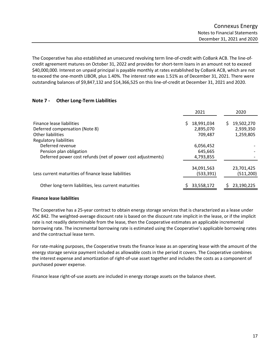The Cooperative has also established an unsecured revolving term line-of-credit with CoBank ACB. The line-ofcredit agreement matures on October 31, 2022 and provides for short-term loans in an amount not to exceed \$40,000,000. Interest on unpaid principal is payable monthly at rates established by CoBank ACB, which are not to exceed the one-month LIBOR, plus 1.40%. The interest rate was 1.51% as of December 31, 2021. There were outstanding balances of \$9,847,132 and \$14,366,525 on this line-of-credit at December 31, 2021 and 2020.

## **Note 7 - Other Long-Term Liabilities**

|                                                             | 2021             | 2020             |
|-------------------------------------------------------------|------------------|------------------|
| Finance lease liabilities                                   | 18,991,034<br>S. | 19,502,270<br>S. |
| Deferred compensation (Note 8)                              | 2,895,070        | 2,939,350        |
| Other liabilities                                           | 709,487          | 1,259,805        |
| <b>Regulatory liabilities</b>                               |                  |                  |
| Deferred revenue                                            | 6,056,452        |                  |
| Pension plan obligation                                     | 645,665          |                  |
| Deferred power cost refunds (net of power cost adjustments) | 4,793,855        |                  |
|                                                             | 34,091,563       | 23,701,425       |
| Less current maturities of finance lease liabilities        | (533,391)        | (511, 200)       |
|                                                             |                  |                  |
| Other long-term liabilities, less current maturities        | 33,558,172       | 23,190,225       |

### **Finance lease liabilities**

The Cooperative has a 25-year contract to obtain energy storage services that is characterized as a lease under ASC 842. The weighted-average discount rate is based on the discount rate implicit in the lease, or if the implicit rate is not readily determinable from the lease, then the Cooperative estimates an applicable incremental borrowing rate. The incremental borrowing rate is estimated using the Cooperative's applicable borrowing rates and the contractual lease term.

For rate-making purposes, the Cooperative treats the finance lease as an operating lease with the amount of the energy storage service payment included as allowable costs in the period it covers. The Cooperative combines the interest expense and amortization of right-of-use asset together and includes the costs as a component of purchased power expense.

Finance lease right-of-use assets are included in energy storage assets on the balance sheet.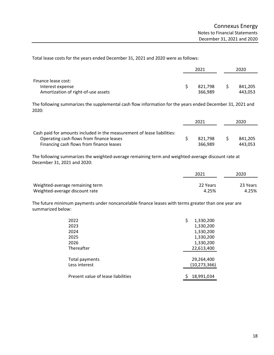Total lease costs for the years ended December 31, 2021 and 2020 were as follows:

|                                                                                | 2021 |                    | 2020 |                    |
|--------------------------------------------------------------------------------|------|--------------------|------|--------------------|
| Finance lease cost:<br>Interest expense<br>Amortization of right-of-use assets |      | 821.798<br>366.989 |      | 841.205<br>443,053 |

The following summarizes the supplemental cash flow information for the years ended December 31, 2021 and 2020:

|                                                                                                                                                                 | 2021               | 2020               |
|-----------------------------------------------------------------------------------------------------------------------------------------------------------------|--------------------|--------------------|
| Cash paid for amounts included in the measurement of lease liabilities:<br>Operating cash flows from finance leases<br>Financing cash flows from finance leases | 821.798<br>366.989 | 841.205<br>443.053 |

The following summarizes the weighted-average remaining term and weighted-average discount rate at December 31, 2021 and 2020:

|                                 | 2021     | 2020     |  |
|---------------------------------|----------|----------|--|
| Weighted-average remaining term | 22 Years | 23 Years |  |
| Weighted-average discount rate  | 4.25%    | 4.25%    |  |

The future minimum payments under noncancelable finance leases with terms greater than one year are summarized below:

| 2022                               | \$<br>1,330,200 |
|------------------------------------|-----------------|
| 2023                               | 1,330,200       |
| 2024                               | 1,330,200       |
| 2025                               | 1,330,200       |
| 2026                               | 1,330,200       |
| Thereafter                         | 22,613,400      |
|                                    |                 |
| Total payments                     | 29,264,400      |
| Less interest                      | (10, 273, 366)  |
|                                    |                 |
| Present value of lease liabilities | 18,991,034      |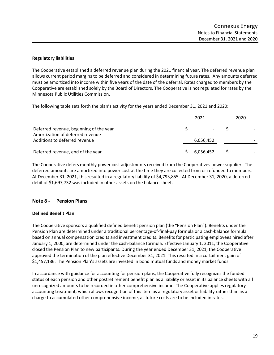## **Regulatory liabilities**

The Cooperative established a deferred revenue plan during the 2021 financial year. The deferred revenue plan allows current period margins to be deferred and considered in determining future rates. Any amounts deferred must be amortized into income within five years of the date of the deferral. Rates charged to members by the Cooperative are established solely by the Board of Directors. The Cooperative is not regulated for rates by the Minnesota Public Utilities Commission.

The following table sets forth the plan's activity for the years ended December 31, 2021 and 2020:

|                                                                                                              | 2021      | 2020 |
|--------------------------------------------------------------------------------------------------------------|-----------|------|
| Deferred revenue, beginning of the year<br>Amortization of deferred revenue<br>Additions to deferred revenue | 6,056,452 |      |
| Deferred revenue, end of the year                                                                            | 6,056,452 |      |

The Cooperative defers monthly power cost adjustments received from the Cooperatives power supplier. The deferred amounts are amortized into power cost at the time they are collected from or refunded to members. At December 31, 2021, this resulted in a regulatory liability of \$4,793,855. At December 31, 2020, a deferred debit of \$1,697,732 was included in other assets on the balance sheet.

## **Note 8 - Pension Plans**

## **Defined Benefit Plan**

The Cooperative sponsors a qualified defined benefit pension plan (the "Pension Plan"). Benefits under the Pension Plan are determined under a traditional percentage-of-final-pay formula or a cash-balance formula based on annual compensation credits and investment credits. Benefits for participating employees hired after January 1, 2000, are determined under the cash-balance formula. Effective January 1, 2011, the Cooperative closed the Pension Plan to new participants. During the year ended December 31, 2021, the Cooperative approved the termination of the plan effective December 31, 2021. This resulted in a curtailment gain of \$1,457,136. The Pension Plan's assets are invested in bond mutual funds and money market funds.

In accordance with guidance for accounting for pension plans, the Cooperative fully recognizes the funded status of each pension and other postretirement benefit plan as a liability or asset in its balance sheets with all unrecognized amounts to be recorded in other comprehensive income. The Cooperative applies regulatory accounting treatment, which allows recognition of this item as a regulatory asset or liability rather than as a charge to accumulated other comprehensive income, as future costs are to be included in rates.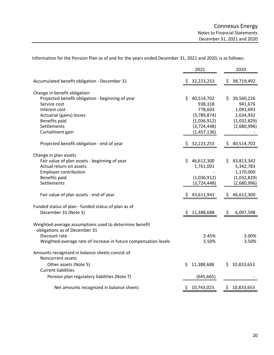Information for the Pension Plan as of and for the years ended December 31, 2021 and 2020, is as follows:

|                                                                                                                                                                                                              | 2021                                                                                               | 2020                                                                                    |
|--------------------------------------------------------------------------------------------------------------------------------------------------------------------------------------------------------------|----------------------------------------------------------------------------------------------------|-----------------------------------------------------------------------------------------|
| Accumulated benefit obligation - December 31                                                                                                                                                                 | 32,223,253                                                                                         | 38,719,492                                                                              |
| Change in benefit obligation<br>Projected benefit obligation - beginning of year<br>Service cost<br>Interest cost<br>Actuarial (gains) losses<br>Benefits paid<br>Settlements<br>Curtailment gain            | \$<br>40,514,702<br>938,318<br>778,603<br>(3,789,874)<br>(1,036,912)<br>(3,724,448)<br>(1,457,136) | 39,560,226<br>Ś.<br>941,676<br>1,091,693<br>2,634,932<br>(1,032,829)<br>(2,680,996)     |
| Projected benefit obligation - end of year                                                                                                                                                                   | 32,223,253<br>Ş                                                                                    | \$40,514,702                                                                            |
| Change in plan assets<br>Fair value of plan assets - beginning of year<br>Actual return on assets<br><b>Employer contribution</b><br>Benefits paid<br>Settlements<br>Fair value of plan assets - end of year | \$46,612,300<br>1,761,001<br>(1,036,912)<br>(3,724,448)<br>43,611,941<br>Ş                         | \$43,813,342<br>5,342,783<br>1,170,000<br>(1,032,829)<br>(2,680,996)<br>46,612,300<br>Ş |
| Funded status of plan - funded status of plan as of<br>December 31 (Note 5)                                                                                                                                  | 11,388,688<br>S                                                                                    | 6,097,598<br>Ş.                                                                         |
| Weighted-average assumptions used to determine benefit<br>obligations as of December 31<br>Discount rate<br>Weighted-average rate of increase in future compensation levels                                  | 2.45%<br>3.50%                                                                                     | 2.00%<br>3.50%                                                                          |
| Amounts recognized in balance sheets consist of<br>Noncurrent assets<br>Other assets (Note 5)                                                                                                                | 11,388,688<br>Ś.                                                                                   | 10,833,653<br>\$                                                                        |
| <b>Current liabilities</b><br>Pension plan regulatory liabilities (Note 7)                                                                                                                                   | (645, 665)                                                                                         |                                                                                         |
| Net amounts recognized in balance sheets                                                                                                                                                                     | 10,743,023<br>\$                                                                                   | 10,833,653<br>\$                                                                        |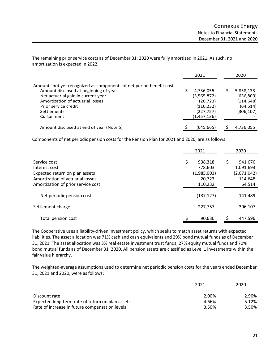The remaining prior service costs as of December 31, 2020 were fully amortized in 2021. As such, no amortization is expected in 2022.

|                                                                     | 2021        |   | 2020       |
|---------------------------------------------------------------------|-------------|---|------------|
| Amounts not yet recognized as components of net period benefit cost |             |   |            |
| Amount disclosed at beginning of year                               | 4,736,055   | S | 5,858,133  |
| Net actuarial gain in current year                                  | (3,565,872) |   | (636, 809) |
| Amortization of actuarial losses                                    | (20, 723)   |   | (114, 648) |
| Prior service credit                                                | (110, 232)  |   | (64, 514)  |
| <b>Settlements</b>                                                  | (227, 757)  |   | (306,107)  |
| Curtailment                                                         | (1,457,136) |   |            |
| Amount disclosed at end of year (Note 5)                            | (645,665)   |   | 4,736,055  |

Components of net periodic pension costs for the Pension Plan for 2021 and 2020, are as follows:

|                                                                                                                                           | 2021                                                         | 2020                                                           |  |
|-------------------------------------------------------------------------------------------------------------------------------------------|--------------------------------------------------------------|----------------------------------------------------------------|--|
| Service cost<br>Interest cost<br>Expected return on plan assets<br>Amortization of actuarial losses<br>Amortization of prior service cost | \$<br>938.318<br>778,603<br>(1,985,003)<br>20,723<br>110,232 | \$<br>941,676<br>1,091,693<br>(2,071,042)<br>114,648<br>64,514 |  |
| Net periodic pension cost                                                                                                                 | (137, 127)                                                   | 141,489                                                        |  |
| Settlement charge                                                                                                                         | 227,757                                                      | 306,107                                                        |  |
| Total pension cost                                                                                                                        | 90,630                                                       | 447,596                                                        |  |

The Cooperative uses a liability-driven investment policy, which seeks to match asset returns with expected liabilities. The asset allocation was 71% cash and cash equivalents and 29% bond mutual funds as of December 31, 2021. The asset allocation was 3% real estate investment trust funds, 27% equity mutual funds and 70% bond mutual funds as of December 31, 2020. All pension assets are classified as Level 1 investments within the fair value hierarchy.

The weighted-average assumptions used to determine net periodic pension costs for the years ended December 31, 2021 and 2020, were as follows:

|                                                  | 2021  | 2020  |  |
|--------------------------------------------------|-------|-------|--|
| Discount rate                                    | 2.00% | 2.90% |  |
| Expected long-term rate of return on plan assets | 4.66% | 5.12% |  |
| Rate of increase in future compensation levels   | 3.50% | 3.50% |  |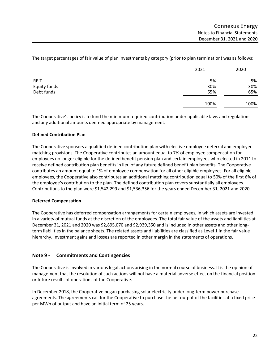The target percentages of fair value of plan investments by category (prior to plan termination) was as follows:

|              | 2021 | 2020 |
|--------------|------|------|
| <b>REIT</b>  | 5%   | 5%   |
| Equity funds | 30%  | 30%  |
| Debt funds   | 65%  | 65%  |
|              | 100% | 100% |

The Cooperative's policy is to fund the minimum required contribution under applicable laws and regulations and any additional amounts deemed appropriate by management.

## **Defined Contribution Plan**

The Cooperative sponsors a qualified defined contribution plan with elective employee deferral and employermatching provisions. The Cooperative contributes an amount equal to 7% of employee compensation for employees no longer eligible for the defined benefit pension plan and certain employees who elected in 2011 to receive defined contribution plan benefits in lieu of any future defined benefit plan benefits. The Cooperative contributes an amount equal to 1% of employee compensation for all other eligible employees. For all eligible employees, the Cooperative also contributes an additional matching contribution equal to 50% of the first 6% of the employee's contribution to the plan. The defined contribution plan covers substantially all employees. Contributions to the plan were \$1,542,299 and \$1,536,356 for the years ended December 31, 2021 and 2020.

### **Deferred Compensation**

The Cooperative has deferred compensation arrangements for certain employees, in which assets are invested in a variety of mutual funds at the discretion of the employees. The total fair value of the assets and liabilities at December 31, 2021 and 2020 was \$2,895,070 and \$2,939,350 and is included in other assets and other longterm liabilities in the balance sheets. The related assets and liabilities are classified as Level 1 in the fair value hierarchy. Investment gains and losses are reported in other margin in the statements of operations.

## **Note 9 - Commitments and Contingencies**

The Cooperative is involved in various legal actions arising in the normal course of business. It is the opinion of management that the resolution of such actions will not have a material adverse effect on the financial position or future results of operations of the Cooperative.

In December 2018, the Cooperative began purchasing solar electricity under long-term power purchase agreements. The agreements call for the Cooperative to purchase the net output of the facilities at a fixed price per MWh of output and have an initial term of 25 years.